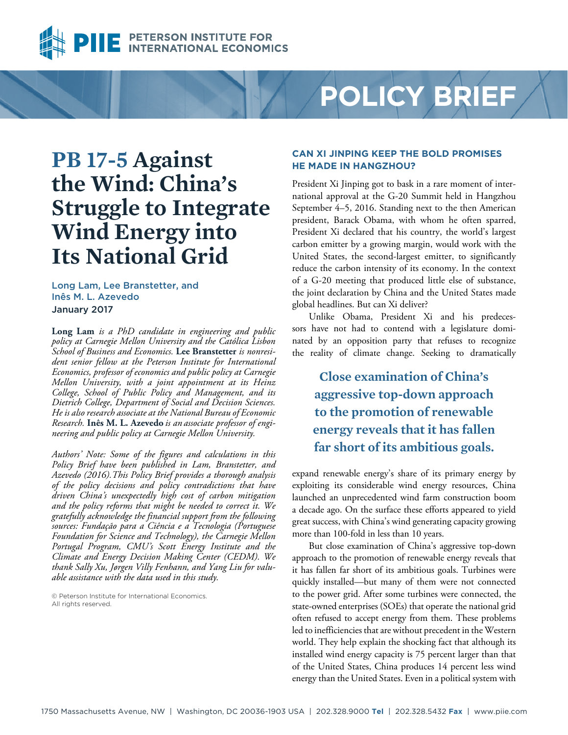

# **POLICY BRIEF**

# **PB 17-5 Against the Wind: China's Struggle to Integrate Wind Energy into Its National Grid**

Long Lam, Lee Branstetter, and Inês M. L. Azevedo January 2017

**Long Lam** *is a PhD candidate in engineering and public policy at Carnegie Mellon University and the Católica Lisbon School of Business and Economics.* **Lee Branstetter** *is nonresident senior fellow at the Peterson Institute for International Economics, professor of economics and public policy at Carnegie Mellon University, with a joint appointment at its Heinz College, School of Public Policy and Management, and its Dietrich College, Department of Social and Decision Sciences. He is also research associate at the National Bureau of Economic Research.* **Inês M. L. Azevedo** *is an associate professor of engineering and public policy at Carnegie Mellon University.*

*Authors' Note: Some of the figures and calculations in this Policy Brief have been published in Lam, Branstetter, and Azevedo (2016).This Policy Brief provides a thorough analysis of the policy decisions and policy contradictions that have driven China's unexpectedly high cost of carbon mitigation and the policy reforms that might be needed to correct it. We gratefully acknowledge the financial support from the following sources: Fundação para a Ciência e a Tecnologia (Portuguese Foundation for Science and Technology), the Carnegie Mellon Portugal Program, CMU's Scott Energy Institute and the Climate and Energy Decision Making Center (CEDM). We thank Sally Xu, Jørgen Villy Fenhann, and Yang Liu for valuable assistance with the data used in this study.*

© Peterson Institute for International Economics. All rights reserved.

#### **CAN XI JINPING KEEP THE BOLD PROMISES HE MADE IN HANGZHOU?**

President Xi Jinping got to bask in a rare moment of international approval at the G-20 Summit held in Hangzhou September 4–5, 2016. Standing next to the then American president, Barack Obama, with whom he often sparred, President Xi declared that his country, the world's largest carbon emitter by a growing margin, would work with the United States, the second-largest emitter, to significantly reduce the carbon intensity of its economy. In the context of a G-20 meeting that produced little else of substance, the joint declaration by China and the United States made global headlines. But can Xi deliver?

Unlike Obama, President Xi and his predecessors have not had to contend with a legislature dominated by an opposition party that refuses to recognize the reality of climate change. Seeking to dramatically

**Close examination of China's aggressive top-down approach to the promotion of renewable energy reveals that it has fallen far short of its ambitious goals.**

expand renewable energy's share of its primary energy by exploiting its considerable wind energy resources, China launched an unprecedented wind farm construction boom a decade ago. On the surface these efforts appeared to yield great success, with China's wind generating capacity growing more than 100-fold in less than 10 years.

But close examination of China's aggressive top-down approach to the promotion of renewable energy reveals that it has fallen far short of its ambitious goals. Turbines were quickly installed—but many of them were not connected to the power grid. After some turbines were connected, the state-owned enterprises (SOEs) that operate the national grid often refused to accept energy from them. These problems led to inefficiencies that are without precedent in the Western world. They help explain the shocking fact that although its installed wind energy capacity is 75 percent larger than that of the United States, China produces 14 percent less wind energy than the United States. Even in a political system with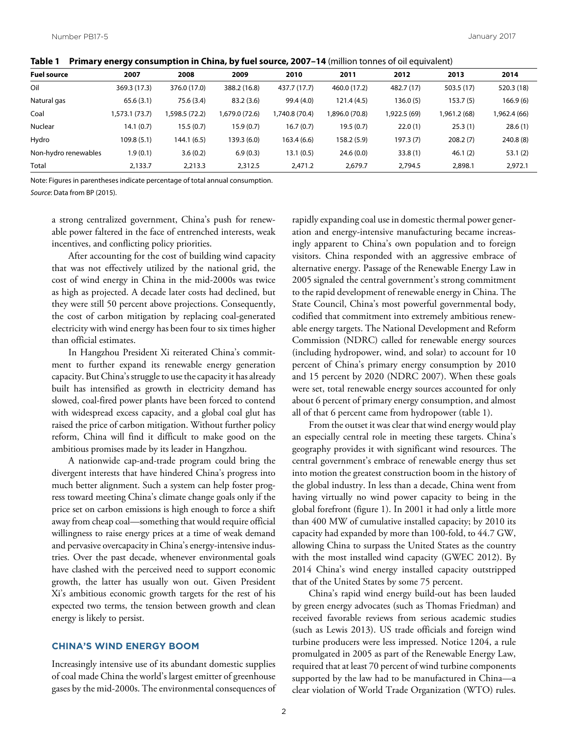**Table 1 Primary energy consumption in China, by fuel source, 2007–14** (million tonnes of oil equivalent)

| <b>Fuel source</b>   | 2007           | 2008          | 2009          | 2010           | 2011          | 2012         | 2013         | 2014         |
|----------------------|----------------|---------------|---------------|----------------|---------------|--------------|--------------|--------------|
| Oil                  | 369.3 (17.3)   | 376.0 (17.0)  | 388.2 (16.8)  | 437.7 (17.7)   | 460.0 (17.2)  | 482.7 (17)   | 503.5 (17)   | 520.3 (18)   |
| Natural gas          | 65.6(3.1)      | 75.6 (3.4)    | 83.2(3.6)     | 99.4 (4.0)     | 121.4 (4.5)   | 136.0 (5)    | 153.7(5)     | 166.9(6)     |
| Coal                 | 1,573.1 (73.7) | ,598.5 (72.2) | (72.6) 679.0. | 1,740.8 (70.4) | ,896.0 (70.8) | 1,922.5 (69) | 1,961.2 (68) | 1,962.4 (66) |
| Nuclear              | 14.1(0.7)      | 15.5(0.7)     | 15.9(0.7)     | 16.7(0.7)      | 19.5(0.7)     | 22.0(1)      | 25.3(1)      | 28.6(1)      |
| Hydro                | 109.8(5.1)     | 144.1 (6.5)   | 139.3 (6.0)   | 163.4 (6.6)    | 158.2 (5.9)   | 197.3 (7)    | 208.2(7)     | 240.8(8)     |
| Non-hydro renewables | 1.9(0.1)       | 3.6(0.2)      | 6.9(0.3)      | 13.1 (0.5)     | 24.6(0.0)     | 33.8(1)      | 46.1(2)      | 53.1(2)      |
| Total                | 2,133.7        | 2,213.3       | 2,312.5       | 2,471.2        | 2,679.7       | 2,794.5      | 2,898.1      | 2,972.1      |

Note: Figures in parentheses indicate percentage of total annual consumption. *Source*: Data from BP (2015).

a strong centralized government, China's push for renewable power faltered in the face of entrenched interests, weak incentives, and conflicting policy priorities.

After accounting for the cost of building wind capacity that was not effectively utilized by the national grid, the cost of wind energy in China in the mid-2000s was twice as high as projected. A decade later costs had declined, but they were still 50 percent above projections. Consequently, the cost of carbon mitigation by replacing coal-generated electricity with wind energy has been four to six times higher than official estimates.

In Hangzhou President Xi reiterated China's commitment to further expand its renewable energy generation capacity. But China's struggle to use the capacity it has already built has intensified as growth in electricity demand has slowed, coal-fired power plants have been forced to contend with widespread excess capacity, and a global coal glut has raised the price of carbon mitigation. Without further policy reform, China will find it difficult to make good on the ambitious promises made by its leader in Hangzhou.

A nationwide cap-and-trade program could bring the divergent interests that have hindered China's progress into much better alignment. Such a system can help foster progress toward meeting China's climate change goals only if the price set on carbon emissions is high enough to force a shift away from cheap coal—something that would require official willingness to raise energy prices at a time of weak demand and pervasive overcapacity in China's energy-intensive industries. Over the past decade, whenever environmental goals have clashed with the perceived need to support economic growth, the latter has usually won out. Given President Xi's ambitious economic growth targets for the rest of his expected two terms, the tension between growth and clean energy is likely to persist.

#### **CHINA'S WIND ENERGY BOOM**

Increasingly intensive use of its abundant domestic supplies of coal made China the world's largest emitter of greenhouse gases by the mid-2000s. The environmental consequences of rapidly expanding coal use in domestic thermal power generation and energy-intensive manufacturing became increasingly apparent to China's own population and to foreign visitors. China responded with an aggressive embrace of alternative energy. Passage of the Renewable Energy Law in 2005 signaled the central government's strong commitment to the rapid development of renewable energy in China. The State Council, China's most powerful governmental body, codified that commitment into extremely ambitious renewable energy targets. The National Development and Reform Commission (NDRC) called for renewable energy sources (including hydropower, wind, and solar) to account for 10 percent of China's primary energy consumption by 2010 and 15 percent by 2020 (NDRC 2007). When these goals were set, total renewable energy sources accounted for only about 6 percent of primary energy consumption, and almost all of that 6 percent came from hydropower (table 1).

From the outset it was clear that wind energy would play an especially central role in meeting these targets. China's geography provides it with significant wind resources. The central government's embrace of renewable energy thus set into motion the greatest construction boom in the history of the global industry. In less than a decade, China went from having virtually no wind power capacity to being in the global forefront (figure 1). In 2001 it had only a little more than 400 MW of cumulative installed capacity; by 2010 its capacity had expanded by more than 100-fold, to 44.7 GW, allowing China to surpass the United States as the country with the most installed wind capacity (GWEC 2012). By 2014 China's wind energy installed capacity outstripped that of the United States by some 75 percent.

China's rapid wind energy build-out has been lauded by green energy advocates (such as Thomas Friedman) and received favorable reviews from serious academic studies (such as Lewis 2013). US trade officials and foreign wind turbine producers were less impressed. Notice 1204, a rule promulgated in 2005 as part of the Renewable Energy Law, required that at least 70 percent of wind turbine components supported by the law had to be manufactured in China—a clear violation of World Trade Organization (WTO) rules.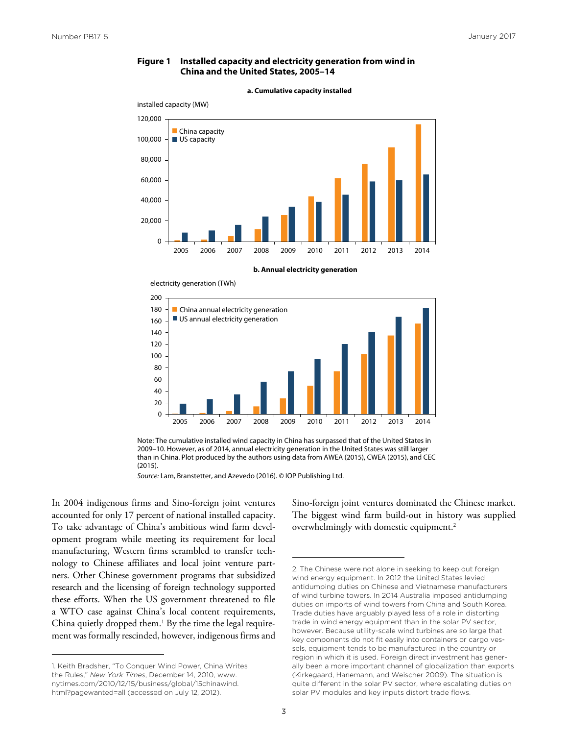#### **Figure 1 Installed capacity and electricity generation from wind in China and the United States, 2005–14**



#### **a. Cumulative capacity installed**







*Source:* Lam, Branstetter, and Azevedo (2016). © IOP Publishing Ltd.

In 2004 indigenous firms and Sino-foreign joint ventures accounted for only 17 percent of national installed capacity. To take advantage of China's ambitious wind farm development program while meeting its requirement for local manufacturing, Western firms scrambled to transfer technology to Chinese affiliates and local joint venture partners. Other Chinese government programs that subsidized research and the licensing of foreign technology supported these efforts. When the US government threatened to file a WTO case against China's local content requirements, China quietly dropped them.<sup>1</sup> By the time the legal requirement was formally rescinded, however, indigenous firms and Sino-foreign joint ventures dominated the Chinese market. The biggest wind farm build-out in history was supplied overwhelmingly with domestic equipment.2

<sup>1.</sup> Keith Bradsher, "To Conquer Wind Power, China Writes the Rules," *New York Times*, December 14, 2010, www. [nytimes.com/2010/12/15/business/global/15chinawind.](www.nytimes.com/2010/12/15/business/global/15chinawind.html?pagewanted=all) html?pagewanted=all (accessed on July 12, 2012).

<sup>2.</sup> The Chinese were not alone in seeking to keep out foreign wind energy equipment. In 2012 the United States levied antidumping duties on Chinese and Vietnamese manufacturers of wind turbine towers. In 2014 Australia imposed antidumping duties on imports of wind towers from China and South Korea. Trade duties have arguably played less of a role in distorting trade in wind energy equipment than in the solar PV sector, however. Because utility-scale wind turbines are so large that key components do not fit easily into containers or cargo vessels, equipment tends to be manufactured in the country or region in which it is used. Foreign direct investment has generally been a more important channel of globalization than exports (Kirkegaard, Hanemann, and Weischer 2009). The situation is quite different in the solar PV sector, where escalating duties on solar PV modules and key inputs distort trade flows.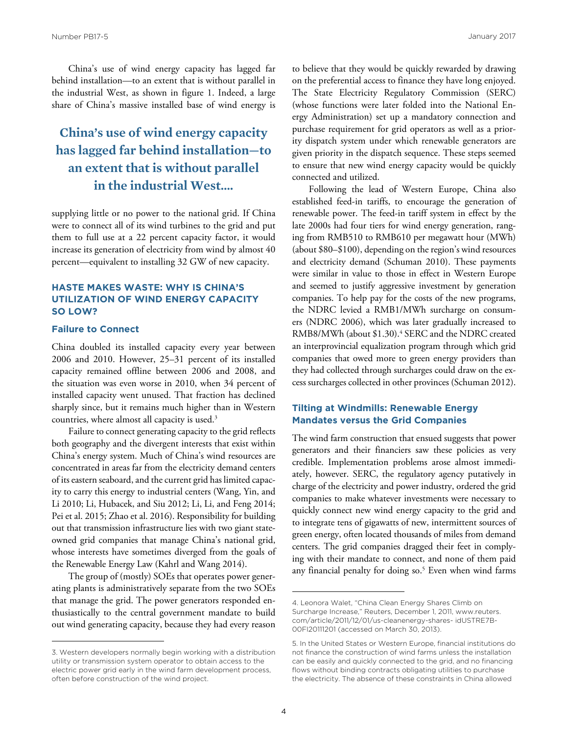China's use of wind energy capacity has lagged far behind installation—to an extent that is without parallel in the industrial West, as shown in figure 1. Indeed, a large share of China's massive installed base of wind energy is

## **China's use of wind energy capacity has lagged far behind installation—to an extent that is without parallel in the industrial West….**

supplying little or no power to the national grid. If China were to connect all of its wind turbines to the grid and put them to full use at a 22 percent capacity factor, it would increase its generation of electricity from wind by almost 40 percent—equivalent to installing 32 GW of new capacity.

#### **HASTE MAKES WASTE: WHY IS CHINA'S UTILIZATION OF WIND ENERGY CAPACITY SO LOW?**

#### **Failure to Connect**

China doubled its installed capacity every year between 2006 and 2010. However, 25–31 percent of its installed capacity remained offline between 2006 and 2008, and the situation was even worse in 2010, when 34 percent of installed capacity went unused. That fraction has declined sharply since, but it remains much higher than in Western countries, where almost all capacity is used.3

Failure to connect generating capacity to the grid reflects both geography and the divergent interests that exist within China's energy system. Much of China's wind resources are concentrated in areas far from the electricity demand centers of its eastern seaboard, and the current grid has limited capacity to carry this energy to industrial centers (Wang, Yin, and Li 2010; Li, Hubacek, and Siu 2012; Li, Li, and Feng 2014; Pei et al. 2015; Zhao et al. 2016). Responsibility for building out that transmission infrastructure lies with two giant stateowned grid companies that manage China's national grid, whose interests have sometimes diverged from the goals of the Renewable Energy Law (Kahrl and Wang 2014).

The group of (mostly) SOEs that operates power generating plants is administratively separate from the two SOEs that manage the grid. The power generators responded enthusiastically to the central government mandate to build out wind generating capacity, because they had every reason

to believe that they would be quickly rewarded by drawing on the preferential access to finance they have long enjoyed. The State Electricity Regulatory Commission (SERC) (whose functions were later folded into the National Energy Administration) set up a mandatory connection and purchase requirement for grid operators as well as a priority dispatch system under which renewable generators are given priority in the dispatch sequence. These steps seemed to ensure that new wind energy capacity would be quickly connected and utilized.

Following the lead of Western Europe, China also established feed-in tariffs, to encourage the generation of renewable power. The feed-in tariff system in effect by the late 2000s had four tiers for wind energy generation, ranging from RMB510 to RMB610 per megawatt hour (MWh) (about \$80–\$100), depending on the region's wind resources and electricity demand (Schuman 2010). These payments were similar in value to those in effect in Western Europe and seemed to justify aggressive investment by generation companies. To help pay for the costs of the new programs, the NDRC levied a RMB1/MWh surcharge on consumers (NDRC 2006), which was later gradually increased to RMB8/MWh (about \$1.30).<sup>4</sup> SERC and the NDRC created an interprovincial equalization program through which grid companies that owed more to green energy providers than they had collected through surcharges could draw on the excess surcharges collected in other provinces (Schuman 2012).

#### **Tilting at Windmills: Renewable Energy Mandates versus the Grid Companies**

The wind farm construction that ensued suggests that power generators and their financiers saw these policies as very credible. Implementation problems arose almost immediately, however. SERC, the regulatory agency putatively in charge of the electricity and power industry, ordered the grid companies to make whatever investments were necessary to quickly connect new wind energy capacity to the grid and to integrate tens of gigawatts of new, intermittent sources of green energy, often located thousands of miles from demand centers. The grid companies dragged their feet in complying with their mandate to connect, and none of them paid any financial penalty for doing so.<sup>5</sup> Even when wind farms

<sup>3.</sup> Western developers normally begin working with a distribution utility or transmission system operator to obtain access to the electric power grid early in the wind farm development process, often before construction of the wind project.

<sup>4.</sup> Leonora Walet, "China Clean Energy Shares Climb on [Surcharge Increase," Reuters, December 1, 2011, www.reuters.](www.reuters.com/article/2011/12/01/us-cleanenergy-shares- idUSTRE7B00FI20111201) com/article/2011/12/01/us-cleanenergy-shares- idUSTRE7B-00FI20111201 (accessed on March 30, 2013).

<sup>5.</sup> In the United States or Western Europe, financial institutions do not finance the construction of wind farms unless the installation can be easily and quickly connected to the grid, and no financing flows without binding contracts obligating utilities to purchase the electricity. The absence of these constraints in China allowed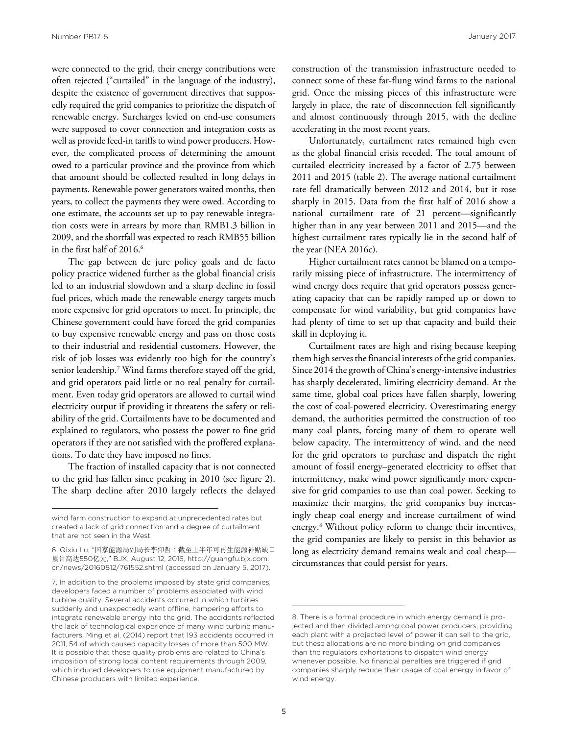were connected to the grid, their energy contributions were often rejected ("curtailed" in the language of the industry), despite the existence of government directives that supposedly required the grid companies to prioritize the dispatch of renewable energy. Surcharges levied on end-use consumers were supposed to cover connection and integration costs as well as provide feed-in tariffs to wind power producers. However, the complicated process of determining the amount owed to a particular province and the province from which that amount should be collected resulted in long delays in payments. Renewable power generators waited months, then years, to collect the payments they were owed. According to one estimate, the accounts set up to pay renewable integration costs were in arrears by more than RMB1.3 billion in 2009, and the shortfall was expected to reach RMB55 billion in the first half of 2016.<sup>6</sup>

The gap between de jure policy goals and de facto policy practice widened further as the global financial crisis led to an industrial slowdown and a sharp decline in fossil fuel prices, which made the renewable energy targets much more expensive for grid operators to meet. In principle, the Chinese government could have forced the grid companies to buy expensive renewable energy and pass on those costs to their industrial and residential customers. However, the risk of job losses was evidently too high for the country's senior leadership.<sup>7</sup> Wind farms therefore stayed off the grid, and grid operators paid little or no real penalty for curtailment. Even today grid operators are allowed to curtail wind electricity output if providing it threatens the safety or reliability of the grid. Curtailments have to be documented and explained to regulators, who possess the power to fine grid operators if they are not satisfied with the proffered explanations. To date they have imposed no fines.

The fraction of installed capacity that is not connected to the grid has fallen since peaking in 2010 (see figure 2). The sharp decline after 2010 largely reflects the delayed construction of the transmission infrastructure needed to connect some of these far-flung wind farms to the national grid. Once the missing pieces of this infrastructure were largely in place, the rate of disconnection fell significantly and almost continuously through 2015, with the decline accelerating in the most recent years.

Unfortunately, curtailment rates remained high even as the global financial crisis receded. The total amount of curtailed electricity increased by a factor of 2.75 between 2011 and 2015 (table 2). The average national curtailment rate fell dramatically between 2012 and 2014, but it rose sharply in 2015. Data from the first half of 2016 show a national curtailment rate of 21 percent—significantly higher than in any year between 2011 and 2015—and the highest curtailment rates typically lie in the second half of the year (NEA 2016c).

Higher curtailment rates cannot be blamed on a temporarily missing piece of infrastructure. The intermittency of wind energy does require that grid operators possess generating capacity that can be rapidly ramped up or down to compensate for wind variability, but grid companies have had plenty of time to set up that capacity and build their skill in deploying it.

Curtailment rates are high and rising because keeping them high serves the financial interests of the grid companies. Since 2014 the growth of China's energy-intensive industries has sharply decelerated, limiting electricity demand. At the same time, global coal prices have fallen sharply, lowering the cost of coal-powered electricity. Overestimating energy demand, the authorities permitted the construction of too many coal plants, forcing many of them to operate well below capacity. The intermittency of wind, and the need for the grid operators to purchase and dispatch the right amount of fossil energy–generated electricity to offset that intermittency, make wind power significantly more expensive for grid companies to use than coal power. Seeking to maximize their margins, the grid companies buy increasingly cheap coal energy and increase curtailment of wind energy.8 Without policy reform to change their incentives, the grid companies are likely to persist in this behavior as long as electricity demand remains weak and coal cheap circumstances that could persist for years.

wind farm construction to expand at unprecedented rates but created a lack of grid connection and a degree of curtailment that are not seen in the West.

<sup>6.</sup> Qixiu Lu, "国家能源局副局长李仰哲:截至上半年可再生能源补贴缺口 累计高达550亿元," BJX, August 12, 2016, http://guangfu.bjx.com. [cn/news/20160812/761552.shtml \(accessed on January 5, 2017\).](http://guangfu.bjx.com.cn/news/20160812/761552.shtml)

<sup>7.</sup> In addition to the problems imposed by state grid companies, developers faced a number of problems associated with wind turbine quality. Several accidents occurred in which turbines suddenly and unexpectedly went offline, hampering efforts to integrate renewable energy into the grid. The accidents reflected the lack of technological experience of many wind turbine manufacturers. Ming et al. (2014) report that 193 accidents occurred in 2011, 54 of which caused capacity losses of more than 500 MW. It is possible that these quality problems are related to China's imposition of strong local content requirements through 2009, which induced developers to use equipment manufactured by Chinese producers with limited experience.

<sup>8.</sup> There is a formal procedure in which energy demand is projected and then divided among coal power producers, providing each plant with a projected level of power it can sell to the grid, but these allocations are no more binding on grid companies than the regulators exhortations to dispatch wind energy whenever possible. No financial penalties are triggered if grid companies sharply reduce their usage of coal energy in favor of wind energy.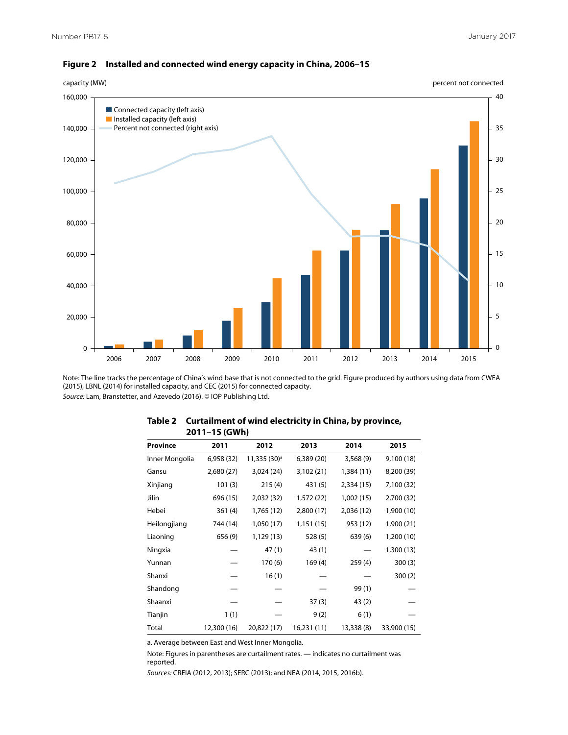

#### **Figure 2 Installed and connected wind energy capacity in China, 2006–15**

Note: The line tracks the percentage of China's wind base that is not connected to the grid. Figure produced by authors using data from CWEA (2015), LBNL (2014) for installed capacity, and CEC (2015) for connected capacity. *Source:* Lam, Branstetter, and Azevedo (2016). © IOP Publishing Ltd.

| ZV I I – I J (UWII) |             |                          |             |            |             |  |  |  |  |
|---------------------|-------------|--------------------------|-------------|------------|-------------|--|--|--|--|
| Province            | 2011        | 2012                     | 2013        | 2014       | 2015        |  |  |  |  |
| Inner Mongolia      | 6,958 (32)  | 11,335 (30) <sup>a</sup> | 6,389(20)   | 3,568(9)   | 9,100 (18)  |  |  |  |  |
| Gansu               | 2,680 (27)  | 3,024(24)                | 3,102 (21)  | 1,384 (11) | 8,200 (39)  |  |  |  |  |
| Xinjiang            | 101(3)      | 215(4)                   | 431 (5)     | 2,334(15)  | 7,100 (32)  |  |  |  |  |
| Jilin               | 696 (15)    | 2,032 (32)               | 1,572 (22)  | 1,002 (15) | 2,700 (32)  |  |  |  |  |
| Hebei               | 361(4)      | 1,765 (12)               | 2,800(17)   | 2,036 (12) | 1,900 (10)  |  |  |  |  |
| Heilongjiang        | 744 (14)    | 1,050 (17)               | 1,151 (15)  | 953 (12)   | 1,900 (21)  |  |  |  |  |
| Liaoning            | 656 (9)     | 1,129 (13)               | 528(5)      | 639(6)     | 1,200 (10)  |  |  |  |  |
| Ningxia             |             | 47(1)                    | 43(1)       |            | 1,300 (13)  |  |  |  |  |
| Yunnan              |             | 170 (6)                  | 169(4)      | 259(4)     | 300(3)      |  |  |  |  |
| Shanxi              |             | 16(1)                    |             |            | 300(2)      |  |  |  |  |
| Shandong            |             |                          |             | 99(1)      |             |  |  |  |  |
| Shaanxi             |             |                          | 37(3)       | 43(2)      |             |  |  |  |  |
| Tianjin             | 1(1)        |                          | 9(2)        | 6(1)       |             |  |  |  |  |
| Total               | 12,300 (16) | 20,822 (17)              | 16,231 (11) | 13,338 (8) | 33,900 (15) |  |  |  |  |

#### **Table 2 Curtailment of wind electricity in China, by province, 2011–15 (GWh)**

a. Average between East and West Inner Mongolia.

Note: Figures in parentheses are curtailment rates. — indicates no curtailment was reported.

*Sources:* CREIA (2012, 2013); SERC (2013); and NEA (2014, 2015, 2016b).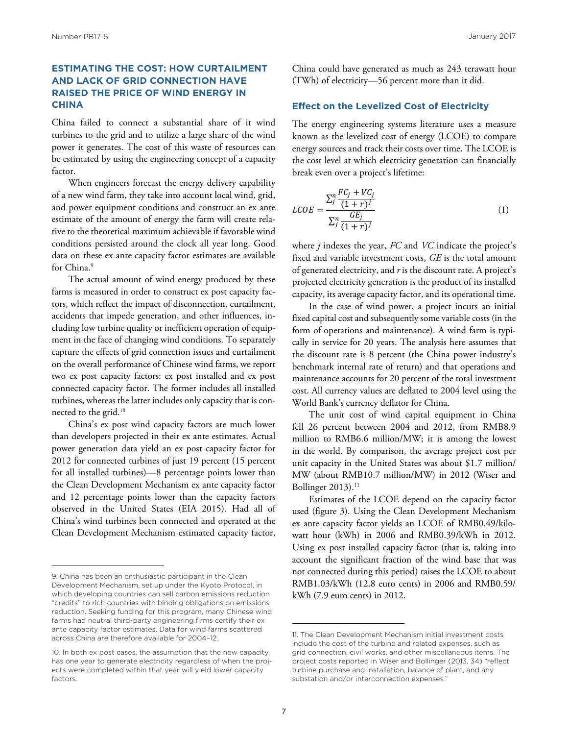#### **ESTIMATING THE COST: HOW CURTAILMENT AND LACK OF GRID CONNECTION HAVE RAISED THE PRICE OF WIND ENERGY IN CHINA**

China failed to connect a substantial share of it wind turbines to the grid and to utilize a large share of the wind power it generates. The cost of this waste of resources can be estimated by using the engineering concept of a capacity factor.

When engineers forecast the energy delivery capability of a new wind farm, they take into account local wind, grid, and power equipment conditions and construct an ex ante estimate of the amount of energy the farm will create relative to the theoretical maximum achievable if favorable wind conditions persisted around the clock all year long. Good data on these ex ante capacity factor estimates are available for China.<sup>9</sup>

The actual amount of wind energy produced by these farms is measured in order to construct ex post capacity factors, which reflect the impact of disconnection, curtailment, accidents that impede generation, and other influences, including low turbine quality or inefficient operation of equipment in the face of changing wind conditions. To separately capture the effects of grid connection issues and curtailment on the overall performance of Chinese wind farms, we report two ex post capacity factors: ex post installed and ex post connected capacity factor. The former includes all installed turbines, whereas the latter includes only capacity that is connected to the grid.<sup>10</sup>

China's ex post wind capacity factors are much lower than developers projected in their ex ante estimates. Actual power generation data yield an ex post capacity factor for 2012 for connected turbines of just 19 percent (15 percent for all installed turbines)—8 percentage points lower than the Clean Development Mechanism ex ante capacity factor and 12 percentage points lower than the capacity factors observed in the United States (EIA 2015). Had all of China's wind turbines been connected and operated at the Clean Development Mechanism estimated capacity factor,

China could have generated as much as 243 terawatt hour (TWh) of electricity—56 percent more than it did.

#### **Effect on the Levelized Cost of Electricity**

The energy engineering systems literature uses a measure known as the levelized cost of energy (LCOE) to compare energy sources and track their costs over time. The LCOE is the cost level at which electricity generation can financially break even over a project's lifetime:

$$
LCOE = \frac{\sum_{j}^{n} \frac{FC_{j} + VC_{j}}{(1+r)^{j}}}{\sum_{j}^{n} \frac{GE_{j}}{(1+r)^{j}}}
$$
(1)

capacity, its average capacity factor, and its operational time. � projected electricity generation is the product of its installed where *j* indexes the year, *FC* and *VC* indicate the project's fixed and variable investment costs, *GE* is the total amount of generated electricity, and *r* is the discount rate. A project's

In the case of wind power, a project incurs an initial fixed capital cost and subsequently some variable costs (in the form of operations and maintenance). A wind farm is typically in service for 20 years. The analysis here assumes that the discount rate is 8 percent (the China power industry's benchmark internal rate of return) and that operations and maintenance accounts for 20 percent of the total investment cost. All currency values are deflated to 2004 level using the World Bank's currency deflator for China.

The unit cost of wind capital equipment in China fell 26 percent between 2004 and 2012, from RMB8.9 million to RMB6.6 million/MW; it is among the lowest in the world. By comparison, the average project cost per unit capacity in the United States was about \$1.7 million/ MW (about RMB10.7 million/MW) in 2012 (Wiser and Bollinger  $2013$ ).<sup>11</sup>

Estimates of the LCOE depend on the capacity factor used (figure 3). Using the Clean Development Mechanism ex ante capacity factor yields an LCOE of RMB0.49/kilowatt hour (kWh) in 2006 and RMB0.39/kWh in 2012. Using ex post installed capacity factor (that is, taking into account the significant fraction of the wind base that was not connected during this period) raises the LCOE to about RMB1.03/kWh (12.8 euro cents) in 2006 and RMB0.59/ kWh (7.9 euro cents) in 2012.

<sup>9.</sup> China has been an enthusiastic participant in the Clean Development Mechanism, set up under the Kyoto Protocol, in which developing countries can sell carbon emissions reduction "credits" to rich countries with binding obligations on emissions reduction. Seeking funding for this program, many Chinese wind farms had neutral third-party engineering firms certify their ex ante capacity factor estimates. Data for wind farms scattered across China are therefore available for 2004–12.

<sup>10.</sup> In both ex post cases, the assumption that the new capacity has one year to generate electricity regardless of when the projects were completed within that year will yield lower capacity factors.

<sup>11.</sup> The Clean Development Mechanism initial investment costs include the cost of the turbine and related expenses, such as grid connection, civil works, and other miscellaneous items. The project costs reported in Wiser and Bollinger (2013, 34) "reflect turbine purchase and installation, balance of plant, and any substation and/or interconnection expenses.'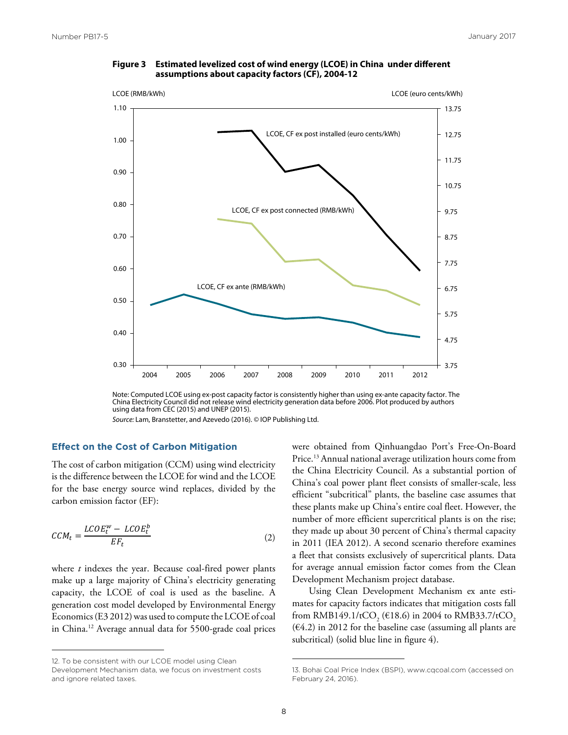

#### Figure 3 Estimated levelized cost of wind energy (LCOE) in China under different  **assumptions about capacity factors (CF), 2004-12**

*Source:* Lam, Branstetter, and Azevedo (2016). © IOP Publishing Ltd.

### **Effect on the Cost of Carbon Mitigation**  ���� � on the Cos

The cost of carbon mitigation (CCM) using wind electricity is the difference between the LCOE for wind and the LCOE for the base energy source wind replaces, divided by the carbon emission factor (EF):

$$
CCM_t = \frac{LCOE_t^w - LCOE_t^b}{EF_t} \tag{2}
$$

where *t* indexes the year. Because coal-fired power plants make up a large majority of China's electricity generating capacity, the LCOE of coal is used as the baseline. A generation cost model developed by Environmental Energy Economics (E3 2012) was used to compute the LCOE of coal in China.12 Average annual data for 5500-grade coal prices

12. To be consistent with our LCOE model using Clean Development Mechanism data, we focus on investment costs and ignore related taxes.

were obtained from Qinhuangdao Port's Free-On-Board Price.13 Annual national average utilization hours come from the China Electricity Council. As a substantial portion of China's coal power plant fleet consists of smaller-scale, less efficient "subcritical" plants, the baseline case assumes that these plants make up China's entire coal fleet. However, the number of more efficient supercritical plants is on the rise; they made up about 30 percent of China's thermal capacity in 2011 (IEA 2012). A second scenario therefore examines a fleet that consists exclusively of supercritical plants. Data for average annual emission factor comes from the Clean Development Mechanism project database.

Using Clean Development Mechanism ex ante estimates for capacity factors indicates that mitigation costs fall from RMB149.1/tCO<sub>2</sub> (€18.6) in 2004 to RMB33.7/tCO<sub>2</sub>  $(64.2)$  in 2012 for the baseline case (assuming all plants are subcritical) (solid blue line in figure 4).

Note: Computed LCOE using ex-post capacity factor is consistently higher than using ex-ante capacity factor. The China Electricity Council did not release wind electricity generation data before 2006. Plot produced by authors using data from CEC (2015) and UNEP (2015).

<sup>13.</sup> Bohai Coal Price Index (BSPI), www.cqcoal.com (accessed on February 24, 2016).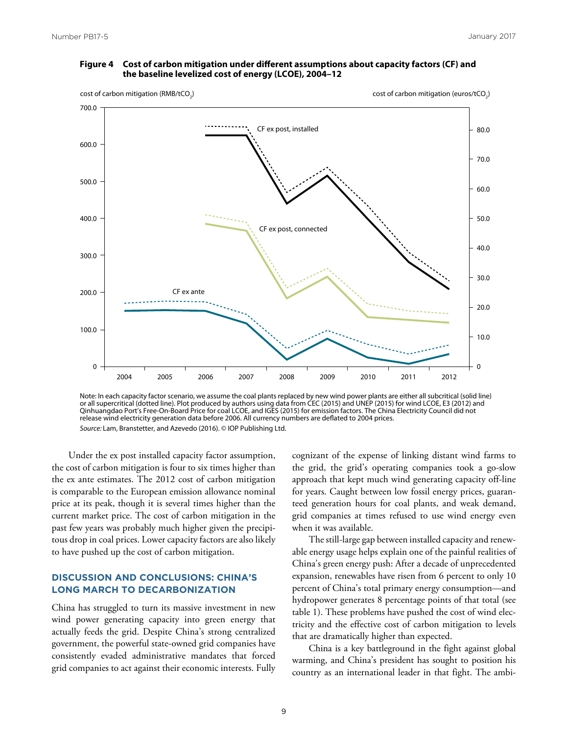#### Figure 4 Cost of carbon mitigation under different assumptions about capacity factors (CF) and  **the baseline levelized cost of energy (LCOE), 2004–12**



Note: In each capacity factor scenario, we assume the coal plants replaced by new wind power plants are either all subcritical (solid line) or all supercritical (dotted line). Plot produced by authors using data from CEC (2015) and UNEP (2015) for wind LCOE, E3 (2012) and Qinhuangdao Port's Free-On-Board Price for coal LCOE, and IGES (2015) for emission factors. The China Electricity Council did not release wind electricity generation data before 2006. All currency numbers are deflated to 2004 prices. *Source:* Lam, Branstetter, and Azevedo (2016). © IOP Publishing Ltd.

Under the ex post installed capacity factor assumption, the cost of carbon mitigation is four to six times higher than the ex ante estimates. The 2012 cost of carbon mitigation is comparable to the European emission allowance nominal price at its peak, though it is several times higher than the current market price. The cost of carbon mitigation in the past few years was probably much higher given the precipitous drop in coal prices. Lower capacity factors are also likely to have pushed up the cost of carbon mitigation.

#### **DISCUSSION AND CONCLUSIONS: CHINA'S LONG MARCH TO DECARBONIZATION**

China has struggled to turn its massive investment in new wind power generating capacity into green energy that actually feeds the grid. Despite China's strong centralized government, the powerful state-owned grid companies have consistently evaded administrative mandates that forced grid companies to act against their economic interests. Fully cognizant of the expense of linking distant wind farms to the grid, the grid's operating companies took a go-slow approach that kept much wind generating capacity off-line for years. Caught between low fossil energy prices, guaranteed generation hours for coal plants, and weak demand, grid companies at times refused to use wind energy even when it was available.

The still-large gap between installed capacity and renewable energy usage helps explain one of the painful realities of China's green energy push: After a decade of unprecedented expansion, renewables have risen from 6 percent to only 10 percent of China's total primary energy consumption—and hydropower generates 8 percentage points of that total (see table 1). These problems have pushed the cost of wind electricity and the effective cost of carbon mitigation to levels that are dramatically higher than expected.

China is a key battleground in the fight against global warming, and China's president has sought to position his country as an international leader in that fight. The ambi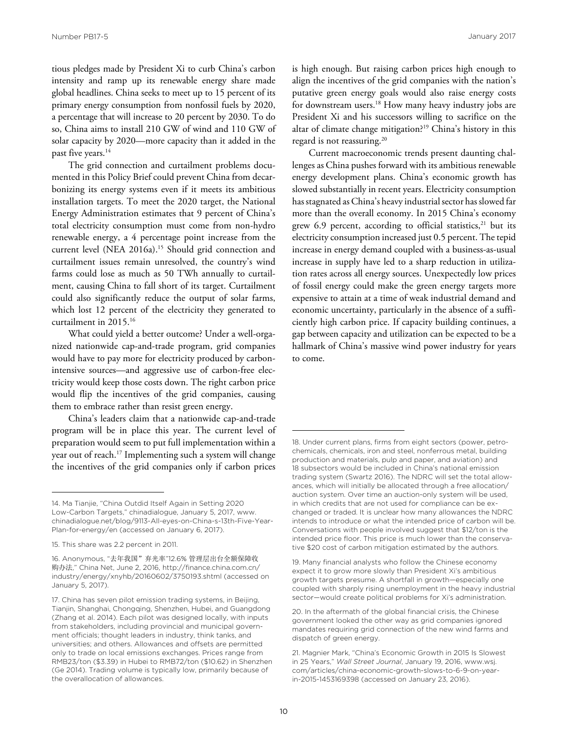tious pledges made by President Xi to curb China's carbon intensity and ramp up its renewable energy share made global headlines. China seeks to meet up to 15 percent of its primary energy consumption from nonfossil fuels by 2020, a percentage that will increase to 20 percent by 2030. To do so, China aims to install 210 GW of wind and 110 GW of solar capacity by 2020—more capacity than it added in the past five years.<sup>14</sup>

The grid connection and curtailment problems documented in this Policy Brief could prevent China from decarbonizing its energy systems even if it meets its ambitious installation targets. To meet the 2020 target, the National Energy Administration estimates that 9 percent of China's total electricity consumption must come from non-hydro renewable energy, a 4 percentage point increase from the current level (NEA 2016a).<sup>15</sup> Should grid connection and curtailment issues remain unresolved, the country's wind farms could lose as much as 50 TWh annually to curtailment, causing China to fall short of its target. Curtailment could also significantly reduce the output of solar farms, which lost 12 percent of the electricity they generated to curtailment in 2015.16

What could yield a better outcome? Under a well-organized nationwide cap-and-trade program, grid companies would have to pay more for electricity produced by carbonintensive sources—and aggressive use of carbon-free electricity would keep those costs down. The right carbon price would flip the incentives of the grid companies, causing them to embrace rather than resist green energy.

China's leaders claim that a nationwide cap-and-trade program will be in place this year. The current level of preparation would seem to put full implementation within a year out of reach.17 Implementing such a system will change the incentives of the grid companies only if carbon prices

is high enough. But raising carbon prices high enough to align the incentives of the grid companies with the nation's putative green energy goals would also raise energy costs for downstream users.<sup>18</sup> How many heavy industry jobs are President Xi and his successors willing to sacrifice on the altar of climate change mitigation?19 China's history in this regard is not reassuring.20

Current macroeconomic trends present daunting challenges as China pushes forward with its ambitious renewable energy development plans. China's economic growth has slowed substantially in recent years. Electricity consumption has stagnated as China's heavy industrial sector has slowed far more than the overall economy. In 2015 China's economy grew 6.9 percent, according to official statistics, $21$  but its electricity consumption increased just 0.5 percent. The tepid increase in energy demand coupled with a business-as-usual increase in supply have led to a sharp reduction in utilization rates across all energy sources. Unexpectedly low prices of fossil energy could make the green energy targets more expensive to attain at a time of weak industrial demand and economic uncertainty, particularly in the absence of a sufficiently high carbon price. If capacity building continues, a gap between capacity and utilization can be expected to be a hallmark of China's massive wind power industry for years to come.

<sup>14.</sup> Ma Tianjie, "China Outdid Itself Again in Setting 2020 Low-Carbon Targets," chinadialogue, January 5, 2017, www. [chinadialogue.net/blog/9113-All-eyes-on-China-s-13th-Five-Year-](www.chinadialogue.net/blog/9113-All-eyes-on-China-s-13th-Five-Year-Plan-for-energy/en)Plan-for-energy/en (accessed on January 6, 2017).

<sup>15.</sup> This share was 2.2 percent in 2011.

<sup>16.</sup> Anonymous, "去年我国"弃光率"12.6% 管理层出台全额保障收 购办法," China Net, June 2, 2016, http://finance.china.com.cn/ [industry/energy/xnyhb/20160602/3750193.shtml \(accessed](http://finance.china.com.cn/industry/energy/xnyhb/20160602/3750193.shtml) on January 5, 2017).

<sup>17.</sup> China has seven pilot emission trading systems, in Beijing, Tianjin, Shanghai, Chongqing, Shenzhen, Hubei, and Guangdong (Zhang et al. 2014). Each pilot was designed locally, with inputs from stakeholders, including provincial and municipal government officials; thought leaders in industry, think tanks, and universities; and others. Allowances and offsets are permitted only to trade on local emissions exchanges. Prices range from RMB23/ton (\$3.39) in Hubei to RMB72/ton (\$10.62) in Shenzhen (Ge 2014). Trading volume is typically low, primarily because of the overallocation of allowances.

<sup>18.</sup> Under current plans, firms from eight sectors (power, petrochemicals, chemicals, iron and steel, nonferrous metal, building production and materials, pulp and paper, and aviation) and 18 subsectors would be included in China's national emission trading system (Swartz 2016). The NDRC will set the total allowances, which will initially be allocated through a free allocation/ auction system. Over time an auction-only system will be used, in which credits that are not used for compliance can be exchanged or traded. It is unclear how many allowances the NDRC intends to introduce or what the intended price of carbon will be. Conversations with people involved suggest that \$12/ton is the intended price floor. This price is much lower than the conservative \$20 cost of carbon mitigation estimated by the authors.

<sup>19.</sup> Many financial analysts who follow the Chinese economy expect it to grow more slowly than President Xi's ambitious growth targets presume. A shortfall in growth—especially one coupled with sharply rising unemployment in the heavy industrial sector—would create political problems for Xi's administration.

<sup>20.</sup> In the aftermath of the global financial crisis, the Chinese government looked the other way as grid companies ignored mandates requiring grid connection of the new wind farms and dispatch of green energy.

<sup>21.</sup> Magnier Mark, "China's Economic Growth in 2015 Is Slowest in 25 Years," *Wall Street Journal*, January 19, 2016, www.wsj. [com/articles/china-economic-growth-slows-to-6-9-on-year](www.wsj.com/articles/china-economic-growth-slows-to-6-9-on-year-in-2015-1453169398)in-2015-1453169398 (accessed on January 23, 2016).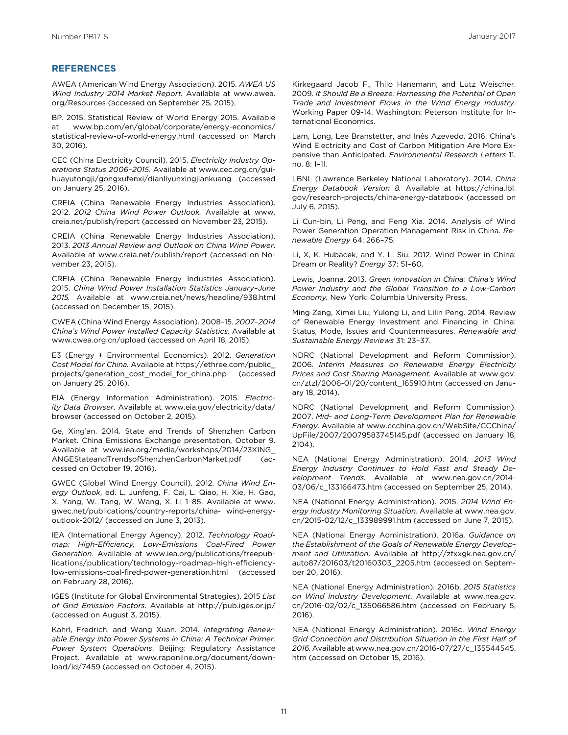#### **REFERENCES**

AWEA (American Wind Energy Association). 2015. *AWEA US Wind Industry 2014 Market Report.* Available at www.awea. [org/Resources \(accessed on September 25, 2015\).](www.awea.org/Resources) 

BP. 2015. Statistical Review of World Energy 2015. Available www.bp.com/en/global/corporate/energy-economics/ [statistical-review-of-world-energy.html \(accessed on March](www.bp.com/en/global/corporate/energy-economics/statistical-review-of-world-energy.html) 30, 2016).

CEC (China Electricity Council). 2015. *Electricity Industry Operations Status 2006–2015.* Available at www.cec.org.cn/gui[huayutongji/gongxufenxi/dianliyunxingjiankuang \(accessed](www.cec.org.cn/guihuayutongji/gongxufenxi/dianliyunxingjiankuang)  on January 25, 2016).

CREIA (China Renewable Energy Industries Association). 2012. *2012 China Wind Power Outlook.* Available at www. [creia.net/publish/report \(accessed on November 23, 2015\).](www.creia.net/publish/report)

CREIA (China Renewable Energy Industries Association). 2013. *2013 Annual Review and Outlook on China Wind Power*. Available at www.creia.net/publish/report (accessed on November 23, 2015).

CREIA (China Renewable Energy Industries Association). 2015. *China Wind Power Installation Statistics January–June 2015.* Available at www.creia.net/news/headline/938.html (accessed on December 15, 2015).

CWEA (China Wind Energy Association). 2008–15. *2007–2014 China's Wind Power Installed Capacity Statistics.* Available at www.cwea.org.cn/upload (accessed on April 18, 2015).

E3 (Energy + Environmental Economics). 2012. *Generation Cost Model for China.* Available at https://ethree.com/public\_ [projects/generation\\_cost\\_model\\_for\\_china.php \(accessed](https://ethree.com/public_projects/generation_cost_model_for_china.php)  on January 25, 2016).

EIA (Energy Information Administration). 2015. *Electricity Data Browser*[. Available at www.eia.gov/electricity/data/](www.eia.gov/electricity/data/browser) browser (accessed on October 2, 2015).

Ge, Xing'an. 2014. State and Trends of Shenzhen Carbon Market. China Emissions Exchange presentation, October 9. [Available at www.iea.org/media/workshops/2014/23XING\\_](www.iea.org/media/workshops/2014/23XING_ANGEStateandTrendsofShenzhenCarbonMarket.pdf) ANGEStateandTrendsofShenzhenCarbonMarket.pdf (accessed on October 19, 2016).

GWEC (Global Wind Energy Council). 2012. *China Wind Energy Outlook*, ed. L. Junfeng, F. Cai, L. Qiao, H. Xie, H. Gao, [X. Yang, W. Tang, W. Wang, X. Li 1–85. Available at www.](www.gwec.net/publications/country-reports/china-wind-energy-outlook-2012/) gwec.net/publications/country-reports/china- wind-energyoutlook-2012/ (accessed on June 3, 2013).

IEA (International Energy Agency). 2012. *Technology Roadmap: High-Efficiency, Low-Emissions Coal-Fired Power Generation*. Available at www.iea.org/publications/freepublications/publication/technology-roadmap-high-efficiencylow-emissions-coal-fired-power-generation.html (accessed on February 28, 2016).

IGES (Institute for Global Environmental Strategies). 2015 *List of Grid Emission Factors*. Available at http://pub.iges.or.jp/ (accessed on August 3, 2015).

Kahrl, Fredrich, and Wang Xuan. 2014. *Integrating Renewable Energy into Power Systems in China: A Technical Primer. Power System Operations*. Beijing: Regulatory Assistance Project. Available at www.raponline.org/document/download/id/7459 (accessed on October 4, 2015).

Kirkegaard Jacob F., Thilo Hanemann, and Lutz Weischer. 2009. *It Should Be a Breeze: Harnessing the Potential of Open Trade and Investment Flows in the Wind Energy Industry*. Working Paper 09-14. Washington: Peterson Institute for International Economics.

Lam, Long, Lee Branstetter, and Inês Azevedo. 2016. China's Wind Electricity and Cost of Carbon Mitigation Are More Expensive than Anticipated. *Environmental Research Letters* 11, no. 8: 1–11.

LBNL (Lawrence Berkeley National Laboratory). 2014. *China Energy Databook Version 8.* Available at https://china.lbl. [gov/research-projects/china-energy-databook \(accessed on](https://china.lbl.gov/research-projects/china-energy-databook) July 6, 2015).

Li Cun-bin, Li Peng, and Feng Xia. 2014. Analysis of Wind Power Generation Operation Management Risk in China. *Renewable Energy* 64: 266–75.

Li, X, K. Hubacek, and Y. L. Siu. 2012. Wind Power in China: Dream or Reality? *Energy* 37: 51–60.

Lewis, Joanna. 2013. *Green Innovation in China: China's Wind Power Industry and the Global Transition to a Low-Carbon Economy.* New York: Columbia University Press.

Ming Zeng, Ximei Liu, Yulong Li, and Lilin Peng. 2014. Review of Renewable Energy Investment and Financing in China: Status, Mode, Issues and Countermeasures. *Renewable and Sustainable Energy Reviews* 31: 23–37.

NDRC (National Development and Reform Commission). 2006. *Interim Measures on Renewable Energy Electricity Prices and Cost Sharing Management.* Available at www.gov. [cn/ztzl/2006-01/20/content\\_165910.htm \(accessed on Janu](www.gov.cn/ztzl/2006-01/20/content_165910.htm)ary 18, 2014).

NDRC (National Development and Reform Commission). 2007. *Mid- and Long-Term Development Plan for Renewable Energy*. Available at www.ccchina.gov.cn/WebSite/CCChina/ [UpFile/2007/20079583745145.pdf \(accessed on January 18,](www.ccchina.gov.cn/WebSite/CCChina/UpFile/2007/20079583745145.pdf) 2104).

NEA (National Energy Administration). 2014. *2013 Wind Energy Industry Continues to Hold Fast and Steady Development Trends.* Available at www.nea.gov.cn/2014- 03/06/c\_133166473.htm (accessed on September 25, 2014).

NEA (National Energy Administration). 2015. *2014 Wind Energy Industry Monitoring Situation*. Available at www.nea.gov. [cn/2015-02/12/c\\_133989991.htm \(accessed on June 7, 2015\).](www.nea.gov.cn/2015-02/12/c_133989991.htm)

NEA (National Energy Administration). 2016a. *Guidance on the Establishment of the Goals of Renewable Energy Development and Utilization*. Available at http://zfxxgk.nea.gov.cn/ [auto87/201603/t20160303\\_2205.htm \(accessed on Septem](http://zfxxgk.nea.gov.cn/auto87/201603/t20160303_2205.htm)ber 20, 2016).

NEA (National Energy Administration). 2016b. *2015 Statistics on Wind Industry Development*. Available at www.nea.gov. [cn/2016-02/02/c\\_135066586.htm \(accessed on February 5,](www.nea.gov.cn/2016-02/02/c_135066586.htm) 2016).

NEA (National Energy Administration). 2016c. *Wind Energy Grid Connection and Distribution Situation in the First Half of 2016.* [Available at www.nea.gov.cn/2016-07/27/c\\_135544545.](www.nea.gov.cn/2016-07/27/c_135544545.htm) htm (accessed on October 15, 2016).